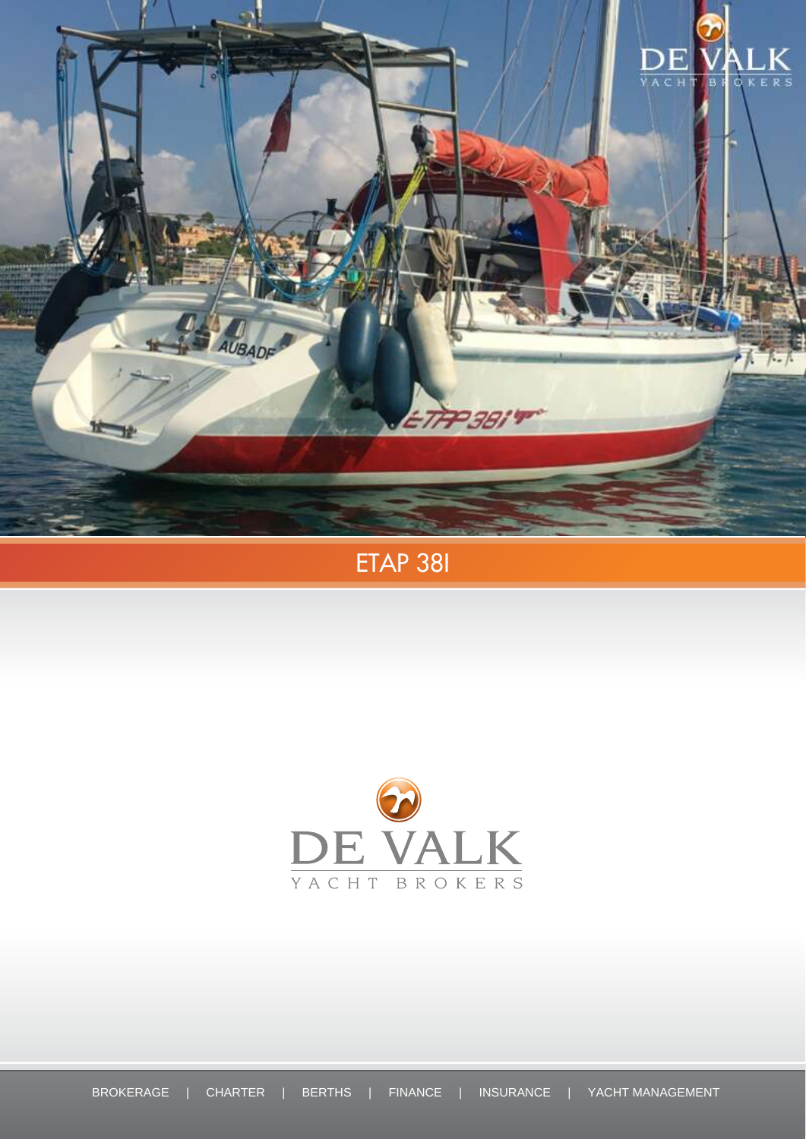

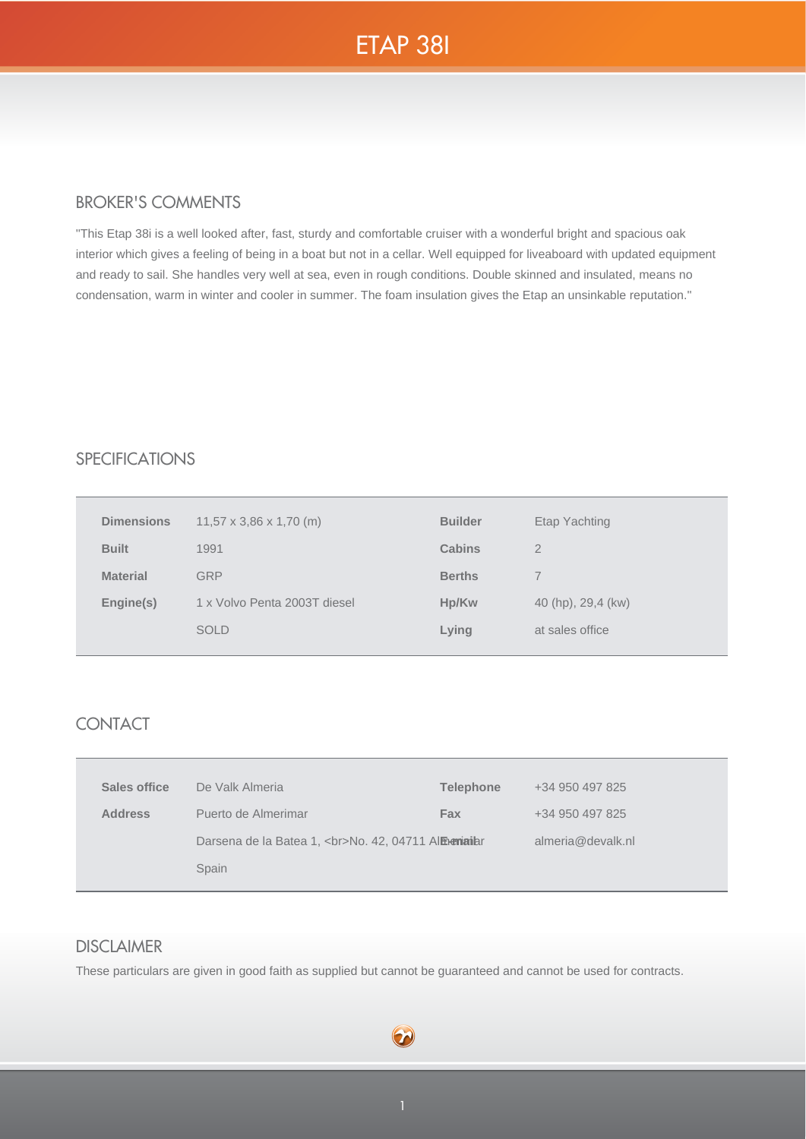#### **BROKER'S COMMENTS**

''This Etap 38i is a well looked after, fast, sturdy and comfortable cruiser with a wonderful bright and spacious oak interior which gives a feeling of being in a boat but not in a cellar. Well equipped for liveaboard with updated equipment and ready to sail. She handles very well at sea, even in rough conditions. Double skinned and insulated, means no condensation, warm in winter and cooler in summer. The foam insulation gives the Etap an unsinkable reputation.''

#### **SPECIFICATIONS**

| <b>Dimensions</b> | $11,57 \times 3,86 \times 1,70 \ (m)$ | <b>Builder</b> | Etap Yachting      |
|-------------------|---------------------------------------|----------------|--------------------|
| <b>Built</b>      | 1991                                  | Cabins         | $\overline{2}$     |
| <b>Material</b>   | <b>GRP</b>                            | <b>Berths</b>  |                    |
| Engine(s)         | 1 x Volvo Penta 2003T diesel          | Hp/Kw          | 40 (hp), 29,4 (kw) |
|                   | <b>SOLD</b>                           | Lying          | at sales office    |
|                   |                                       |                |                    |

### **CONTACT**

| Sales office   | De Valk Almeria                                         | <b>Telephone</b> | +34 950 497 825   |
|----------------|---------------------------------------------------------|------------------|-------------------|
| <b>Address</b> | Puerto de Almerimar                                     | <b>Fax</b>       | +34 950 497 825   |
|                | Darsena de la Batea 1,<br>No. 42, 04711 Allexandrianiar |                  | almeria@devalk.nl |
|                | Spain                                                   |                  |                   |

#### **DISCLAIMER**

These particulars are given in good faith as supplied but cannot be guaranteed and cannot be used for contracts.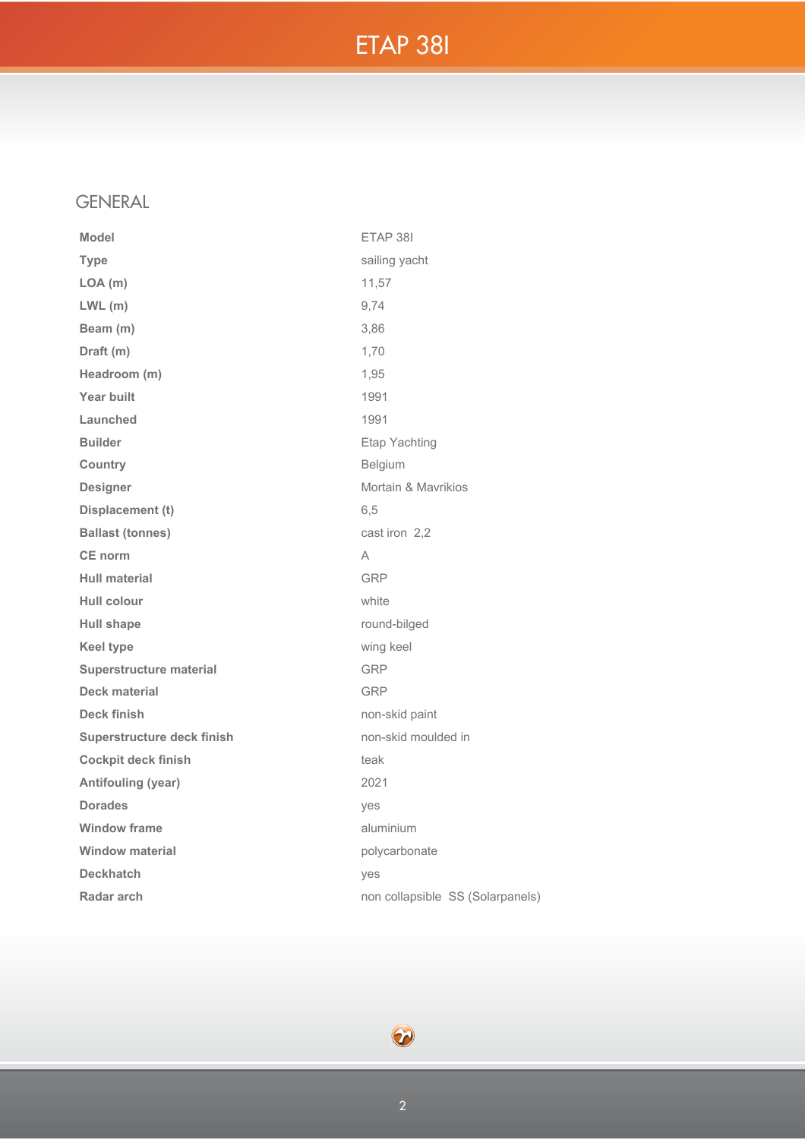### **GENERAL**

| <b>Model</b>                      | ETAP 38I                         |
|-----------------------------------|----------------------------------|
| <b>Type</b>                       | sailing yacht                    |
| LOA(m)                            | 11,57                            |
| $LWL$ (m)                         | 9,74                             |
| Beam (m)                          | 3,86                             |
| Draft (m)                         | 1,70                             |
| Headroom (m)                      | 1,95                             |
| Year built                        | 1991                             |
| Launched                          | 1991                             |
| <b>Builder</b>                    | Etap Yachting                    |
| Country                           | Belgium                          |
| <b>Designer</b>                   | Mortain & Mavrikios              |
| Displacement (t)                  | 6,5                              |
| <b>Ballast (tonnes)</b>           | cast iron 2,2                    |
| CE norm                           | A                                |
| <b>Hull material</b>              | <b>GRP</b>                       |
| <b>Hull colour</b>                | white                            |
| <b>Hull shape</b>                 | round-bilged                     |
| <b>Keel type</b>                  | wing keel                        |
| <b>Superstructure material</b>    | <b>GRP</b>                       |
| <b>Deck material</b>              | <b>GRP</b>                       |
| Deck finish                       | non-skid paint                   |
| <b>Superstructure deck finish</b> | non-skid moulded in              |
| <b>Cockpit deck finish</b>        | teak                             |
| Antifouling (year)                | 2021                             |
| <b>Dorades</b>                    | yes                              |
| <b>Window frame</b>               | aluminium                        |
| <b>Window material</b>            | polycarbonate                    |
| <b>Deckhatch</b>                  | yes                              |
| Radar arch                        | non collapsible SS (Solarpanels) |

 $\bigcirc$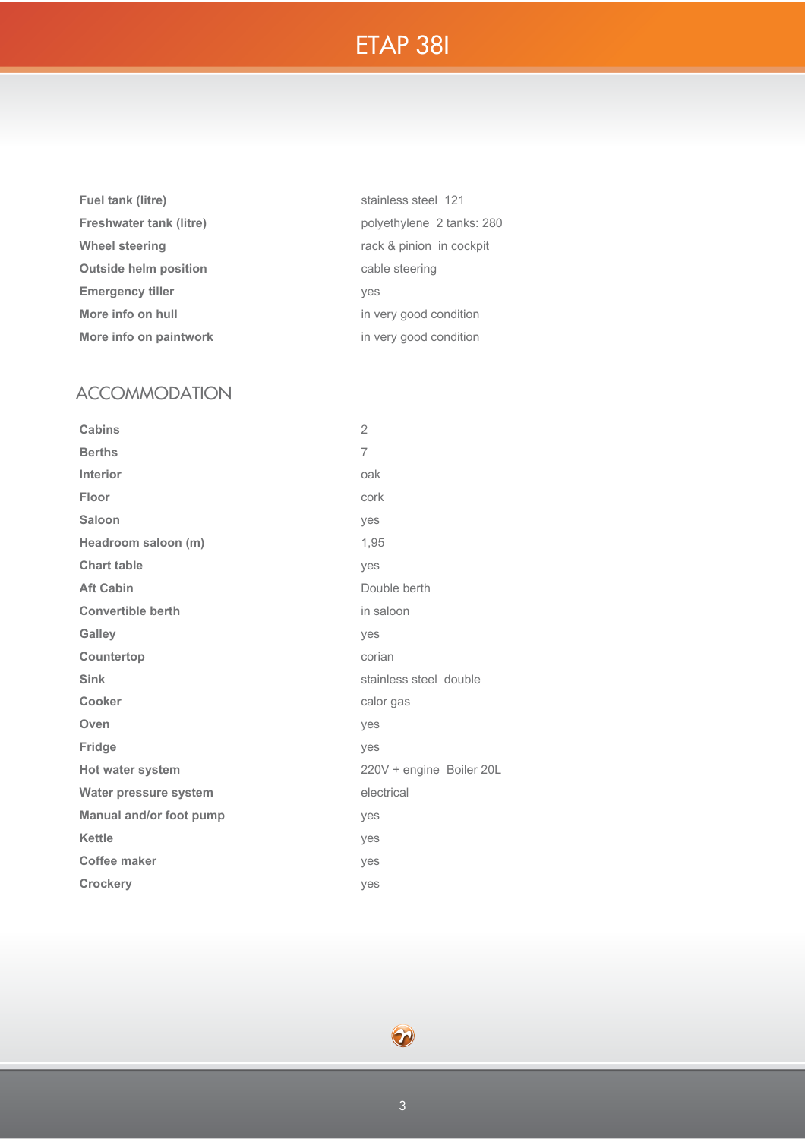| <b>Fuel tank (litre)</b>       | stainless steel 121       |
|--------------------------------|---------------------------|
| <b>Freshwater tank (litre)</b> | polyethylene 2 tanks: 280 |
| <b>Wheel steering</b>          | rack & pinion in cockpit  |
| <b>Outside helm position</b>   | cable steering            |
| <b>Emergency tiller</b>        | yes                       |
| More info on hull              | in very good condition    |
| More info on paintwork         | in very good condition    |

#### **ACCOMMODATION**

| Cabins                   | $\overline{2}$           |
|--------------------------|--------------------------|
| <b>Berths</b>            | $\overline{7}$           |
| Interior                 | oak                      |
| Floor                    | cork                     |
| Saloon                   | yes                      |
| Headroom saloon (m)      | 1,95                     |
| <b>Chart table</b>       | yes                      |
| <b>Aft Cabin</b>         | Double berth             |
| <b>Convertible berth</b> | in saloon                |
| Galley                   | yes                      |
| Countertop               | corian                   |
| <b>Sink</b>              | stainless steel double   |
| Cooker                   | calor gas                |
| Oven                     | yes                      |
| <b>Fridge</b>            | yes                      |
| Hot water system         | 220V + engine Boiler 20L |
| Water pressure system    | electrical               |
| Manual and/or foot pump  | yes                      |
| <b>Kettle</b>            | yes                      |
| Coffee maker             | yes                      |
| <b>Crockery</b>          | yes                      |
|                          |                          |

 $\bigodot$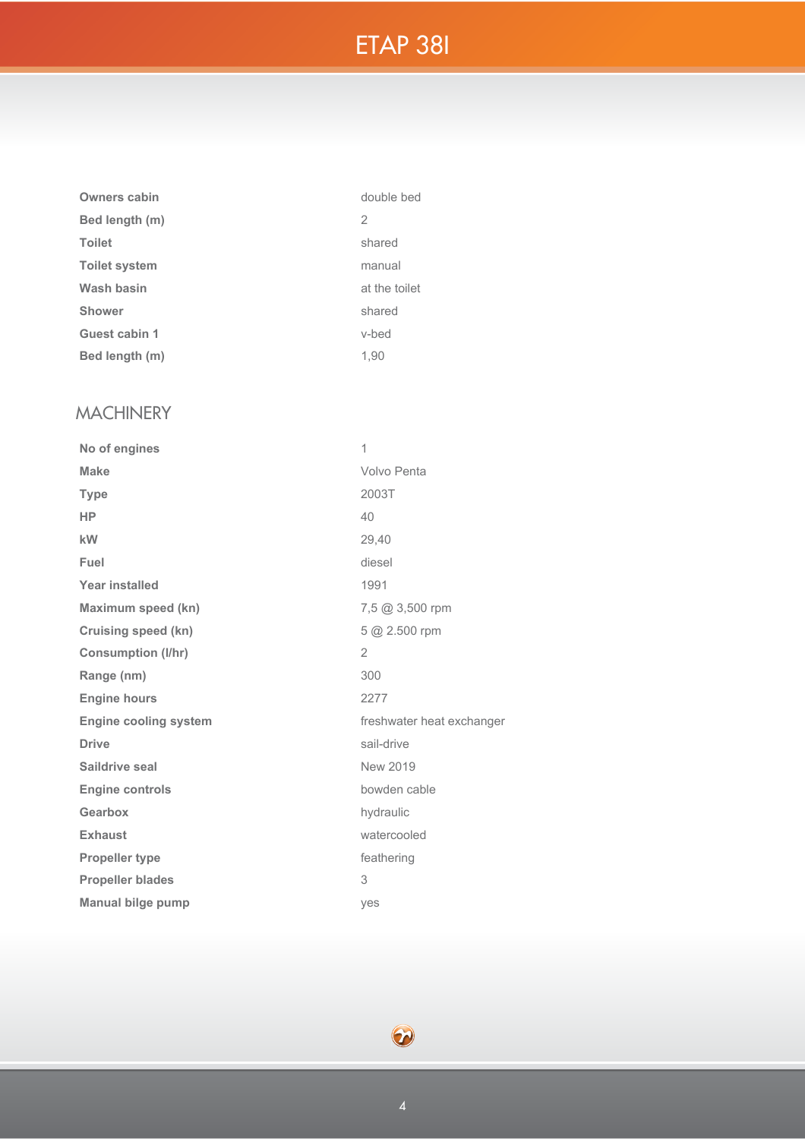| <b>Owners cabin</b>  | double bed     |
|----------------------|----------------|
| Bed length (m)       | $\overline{2}$ |
| <b>Toilet</b>        | shared         |
| <b>Toilet system</b> | manual         |
| Wash basin           | at the toilet  |
| <b>Shower</b>        | shared         |
| Guest cabin 1        | v-bed          |
| Bed length (m)       | 1,90           |
|                      |                |

### **MACHINERY**

| No of engines                | 1                         |
|------------------------------|---------------------------|
| Make                         | Volvo Penta               |
| <b>Type</b>                  | 2003T                     |
| HP                           | 40                        |
| kW                           | 29,40                     |
| Fuel                         | diesel                    |
| Year installed               | 1991                      |
| Maximum speed (kn)           | 7,5 @ 3,500 rpm           |
| <b>Cruising speed (kn)</b>   | 5 @ 2.500 rpm             |
| <b>Consumption (I/hr)</b>    | 2                         |
| Range (nm)                   | 300                       |
| <b>Engine hours</b>          | 2277                      |
| <b>Engine cooling system</b> | freshwater heat exchanger |
| <b>Drive</b>                 | sail-drive                |
| Saildrive seal               | New 2019                  |
| <b>Engine controls</b>       | bowden cable              |
| Gearbox                      | hydraulic                 |
| <b>Exhaust</b>               | watercooled               |
| <b>Propeller type</b>        | feathering                |
| <b>Propeller blades</b>      | 3                         |
| <b>Manual bilge pump</b>     | yes                       |

 $\bigcirc$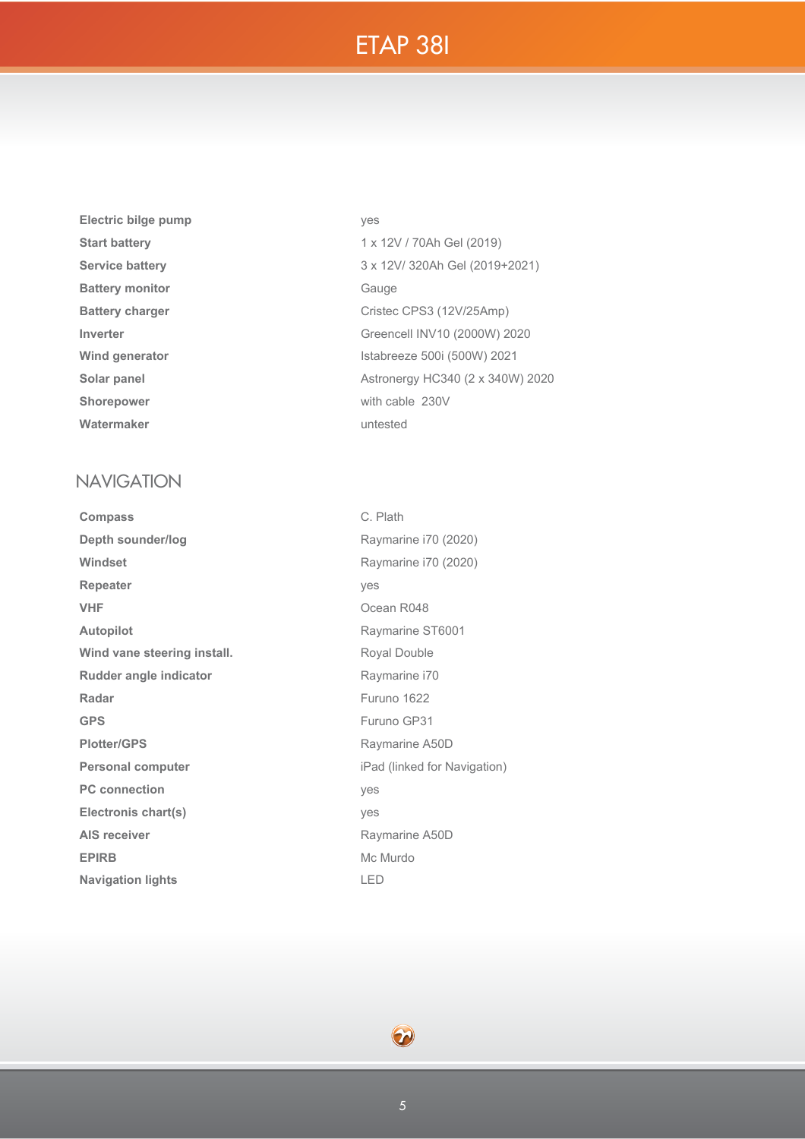| Electric bilge pump    | ves  |
|------------------------|------|
| <b>Start battery</b>   | 1x   |
| <b>Service battery</b> | 3x   |
| <b>Battery monitor</b> | Gau  |
| <b>Battery charger</b> | Cris |
| Inverter               | Gre  |
| <b>Wind generator</b>  | Ista |
| Solar panel            | Ast  |
| <b>Shorepower</b>      | with |
| Watermaker             | unt  |

#### **NAVIGATION**

| Compass                     | C. Plath                     |
|-----------------------------|------------------------------|
| Depth sounder/log           | Raymarine i70 (2020)         |
| Windset                     | Raymarine i70 (2020)         |
| Repeater                    | ves                          |
| <b>VHF</b>                  | Ocean R048                   |
| Autopilot                   | Raymarine ST6001             |
| Wind vane steering install. | Royal Double                 |
| Rudder angle indicator      | Raymarine i70                |
| Radar                       | Furuno 1622                  |
| <b>GPS</b>                  | Furuno GP31                  |
| <b>Plotter/GPS</b>          | Raymarine A50D               |
| <b>Personal computer</b>    | iPad (linked for Navigation) |
| <b>PC connection</b>        | yes                          |
| Electronis chart(s)         | yes                          |
| <b>AIS receiver</b>         | Raymarine A50D               |
| <b>EPIRB</b>                | Mc Murdo                     |
| <b>Navigation lights</b>    | LED                          |

**Start battery 1 x 12V / 70Ah Gel (2019) Service battery 3 x 12V/ 320Ah Gel (2019+2021)**  $Gauge$ **Battery charger Cristec CPS3 (12V/25Amp) Inverter Greencell INV10 (2000W) 2020 Wind generator Istabreeze 500i (500W) 2021 Solar panel Astronergy HC340 (2 x 340W) 2020 Shorepower with cable 230V untested** 

 $\odot$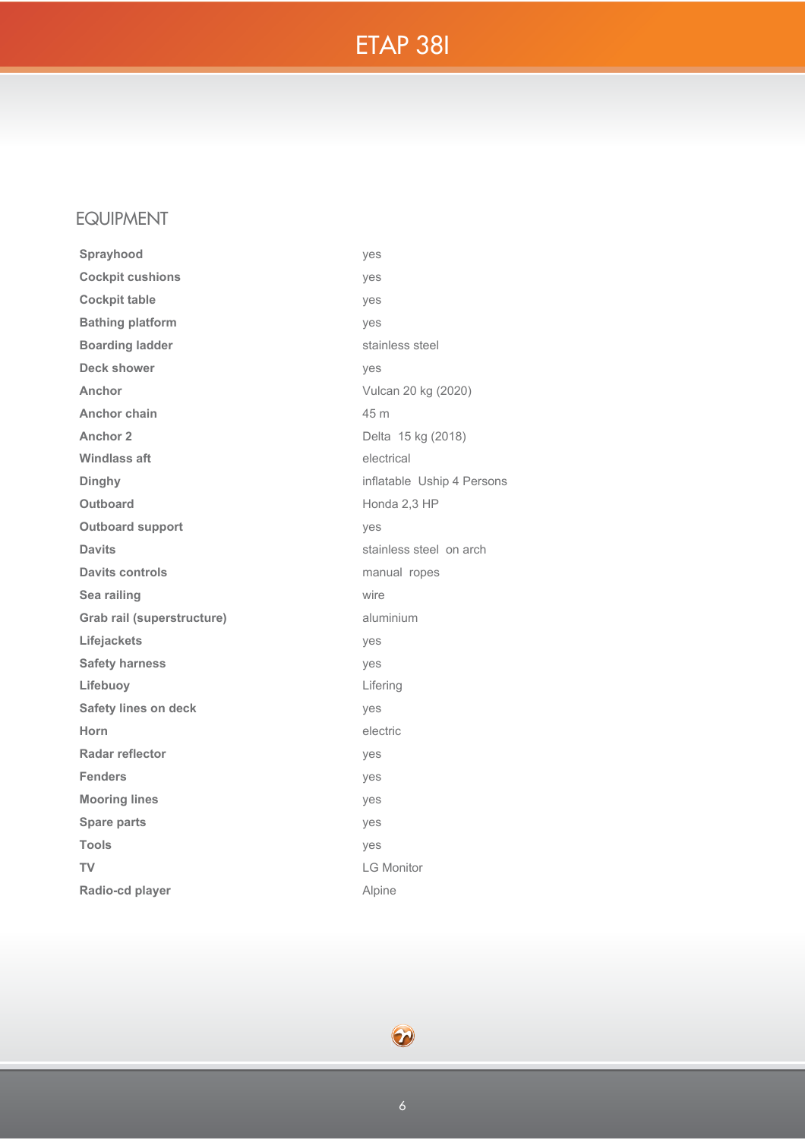## **EQUIPMENT**

| Sprayhood                   | yes                        |
|-----------------------------|----------------------------|
| <b>Cockpit cushions</b>     | yes                        |
| <b>Cockpit table</b>        | yes                        |
| <b>Bathing platform</b>     | yes                        |
| <b>Boarding ladder</b>      | stainless steel            |
| Deck shower                 | yes                        |
| Anchor                      | Vulcan 20 kg (2020)        |
| Anchor chain                | 45 m                       |
| Anchor 2                    | Delta 15 kg (2018)         |
| <b>Windlass aft</b>         | electrical                 |
| <b>Dinghy</b>               | inflatable Uship 4 Persons |
| Outboard                    | Honda 2,3 HP               |
| <b>Outboard support</b>     | yes                        |
| <b>Davits</b>               | stainless steel on arch    |
| <b>Davits controls</b>      | manual ropes               |
| Sea railing                 | wire                       |
| Grab rail (superstructure)  | aluminium                  |
| Lifejackets                 | yes                        |
| <b>Safety harness</b>       | yes                        |
| Lifebuoy                    | Lifering                   |
| <b>Safety lines on deck</b> | yes                        |
| Horn                        | electric                   |
| <b>Radar reflector</b>      | yes                        |
| <b>Fenders</b>              | yes                        |
| <b>Mooring lines</b>        | yes                        |
| <b>Spare parts</b>          | yes                        |
| <b>Tools</b>                | yes                        |
| TV                          | <b>LG Monitor</b>          |
| Radio-cd player             | Alpine                     |

 $\odot$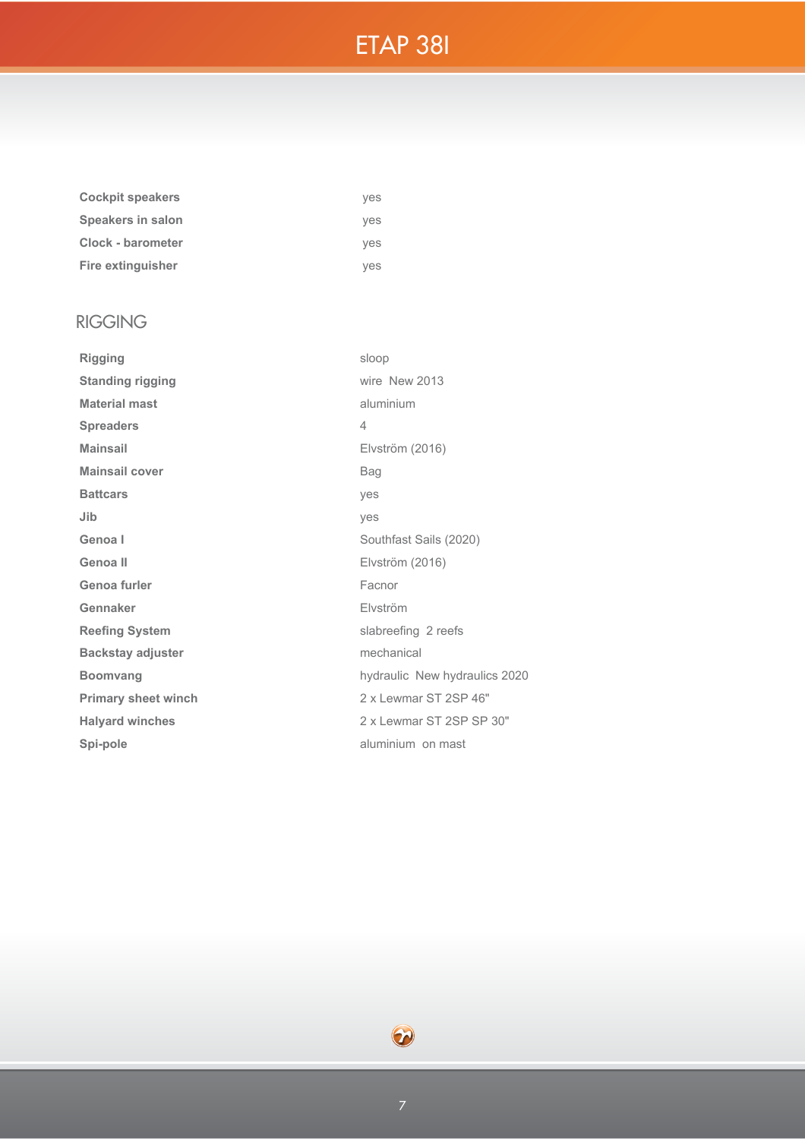| <b>Cockpit speakers</b>  | ves |
|--------------------------|-----|
| Speakers in salon        | ves |
| Clock - barometer        | ves |
| <b>Fire extinguisher</b> | ves |

## **RIGGING**

| <b>Rigging</b>             | sloop                         |
|----------------------------|-------------------------------|
| <b>Standing rigging</b>    | wire New 2013                 |
| <b>Material mast</b>       | aluminium                     |
| <b>Spreaders</b>           | 4                             |
| <b>Mainsail</b>            | Elvström (2016)               |
| <b>Mainsail cover</b>      | Bag                           |
| <b>Battcars</b>            | ves                           |
| Jib                        | ves                           |
| Genoa I                    | Southfast Sails (2020)        |
| Genoa II                   | Elvström (2016)               |
| Genoa furler               | Facnor                        |
| Gennaker                   | Elvström                      |
| <b>Reefing System</b>      | slabreefing 2 reefs           |
| <b>Backstay adjuster</b>   | mechanical                    |
| <b>Boomvang</b>            | hydraulic New hydraulics 2020 |
| <b>Primary sheet winch</b> | 2 x I ewmar ST 2SP 46"        |
| <b>Halyard winches</b>     | 2 x Lewmar ST 2SP SP 30"      |
| Spi-pole                   | aluminium on mast             |

 $\bigodot$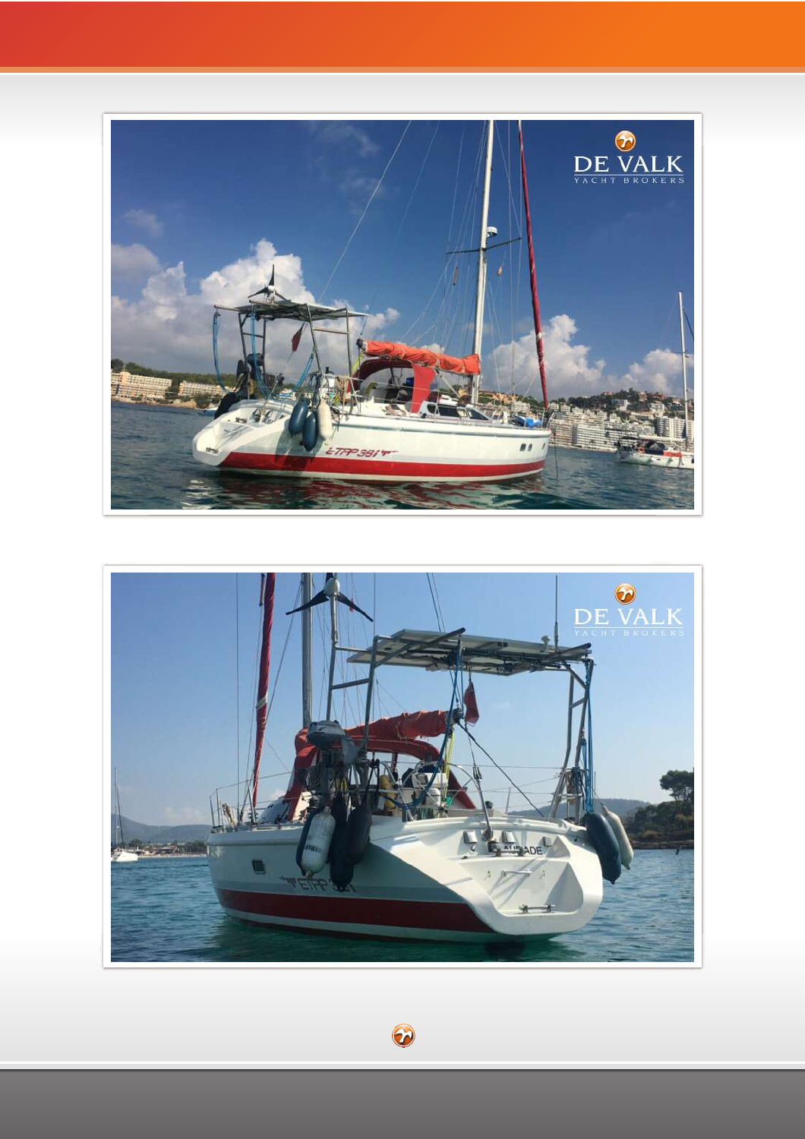$(7$ \$3,



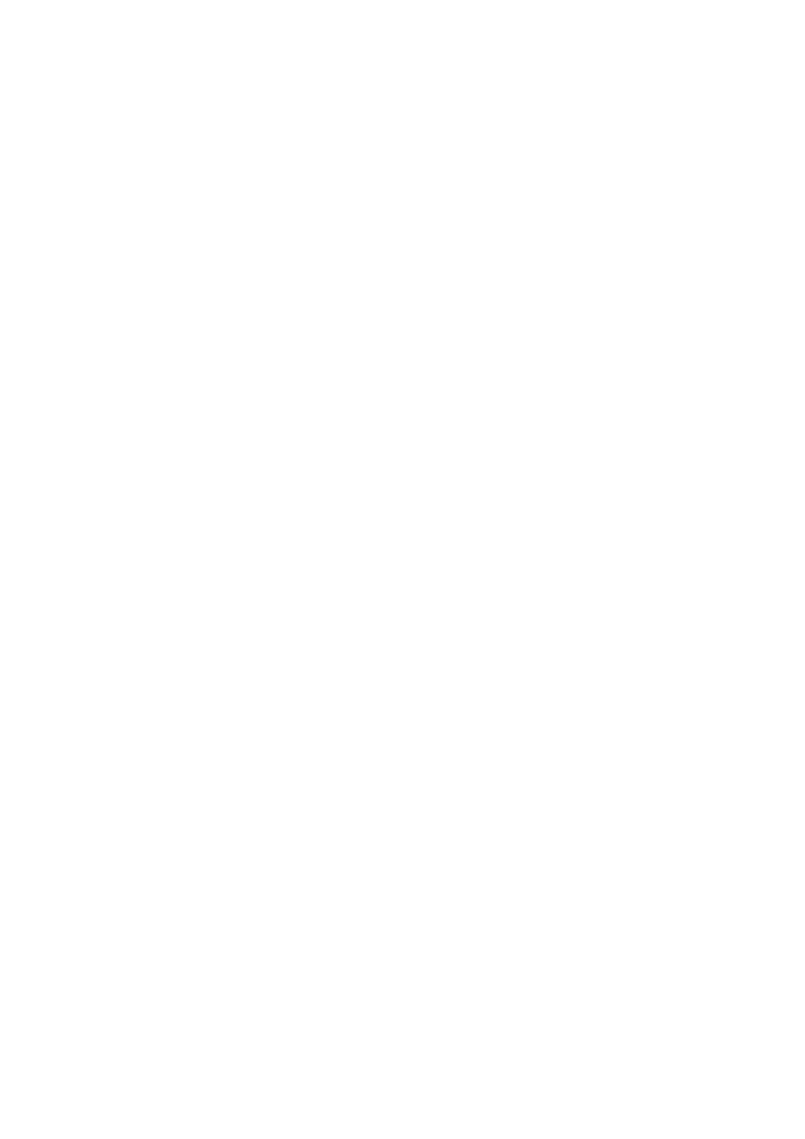| ---- |  |
|------|--|
|      |  |
|      |  |
|      |  |
|      |  |
|      |  |
|      |  |
|      |  |
|      |  |
|      |  |
|      |  |
|      |  |
|      |  |
|      |  |
|      |  |
|      |  |
|      |  |
|      |  |
|      |  |
|      |  |
|      |  |
|      |  |
|      |  |
|      |  |
|      |  |
|      |  |
|      |  |
|      |  |
|      |  |
|      |  |
|      |  |
|      |  |
|      |  |
|      |  |
|      |  |
|      |  |
|      |  |
|      |  |
|      |  |
|      |  |
|      |  |
|      |  |
|      |  |
|      |  |
|      |  |
|      |  |
|      |  |
|      |  |
|      |  |
|      |  |
|      |  |
|      |  |
|      |  |
|      |  |
|      |  |
|      |  |
|      |  |
|      |  |
|      |  |

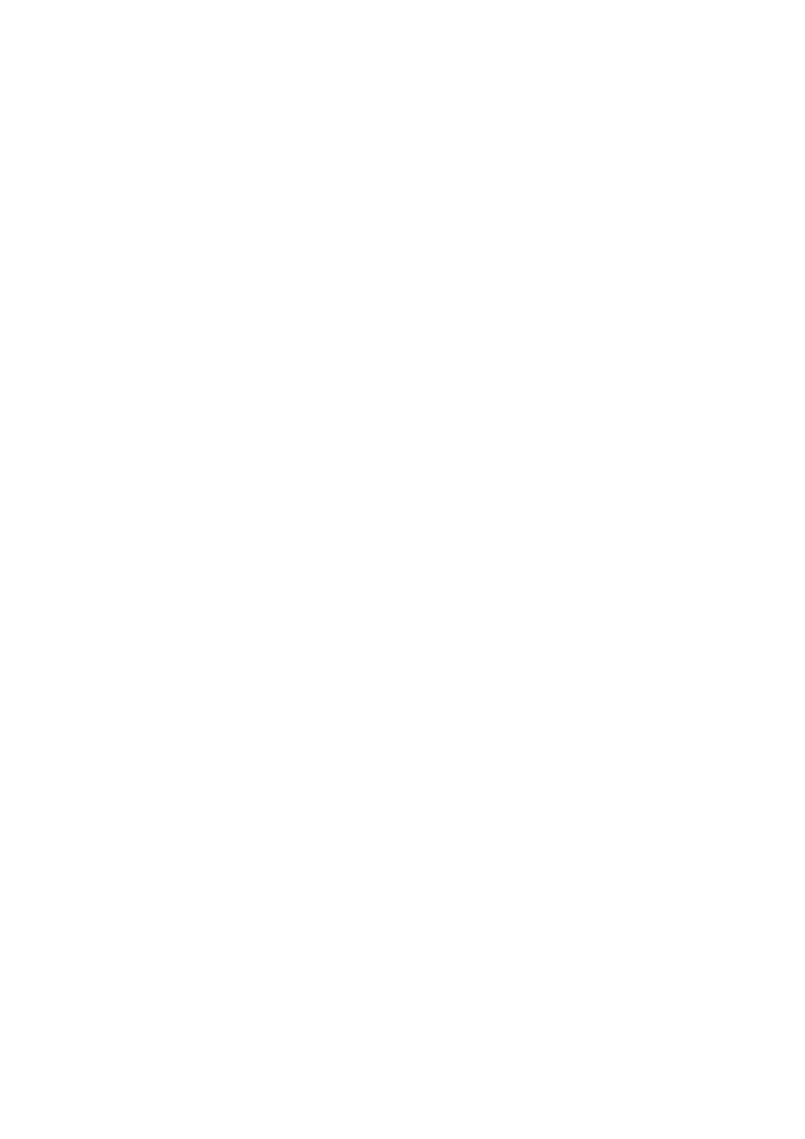| ---- |  |
|------|--|
|      |  |
|      |  |
|      |  |
|      |  |
|      |  |
|      |  |
|      |  |
|      |  |
|      |  |
|      |  |
|      |  |
|      |  |
|      |  |
|      |  |
|      |  |
|      |  |
|      |  |
|      |  |
|      |  |
|      |  |
|      |  |
|      |  |
|      |  |
|      |  |
|      |  |
|      |  |
|      |  |
|      |  |
|      |  |
|      |  |
|      |  |
|      |  |
|      |  |
|      |  |
|      |  |
|      |  |
|      |  |
|      |  |
|      |  |
|      |  |
|      |  |
|      |  |
|      |  |
|      |  |
|      |  |
|      |  |
|      |  |
|      |  |
|      |  |
|      |  |
|      |  |
|      |  |
|      |  |
|      |  |
|      |  |
|      |  |
|      |  |
|      |  |

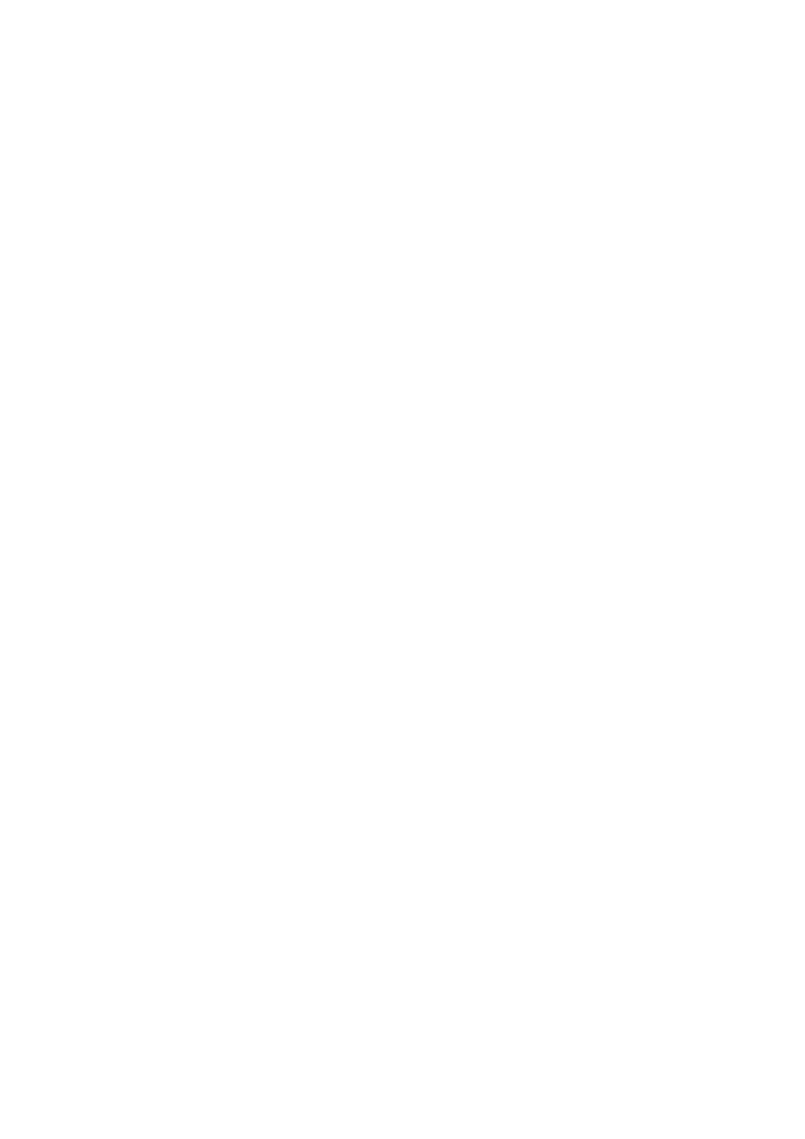| ---- |  |
|------|--|
|      |  |
|      |  |
|      |  |
|      |  |
|      |  |
|      |  |
|      |  |
|      |  |
|      |  |
|      |  |
|      |  |
|      |  |
|      |  |
|      |  |
|      |  |
|      |  |
|      |  |
|      |  |
|      |  |
|      |  |
|      |  |
|      |  |
|      |  |
|      |  |
|      |  |
|      |  |
|      |  |
|      |  |
|      |  |
|      |  |
|      |  |
|      |  |
|      |  |
|      |  |
|      |  |
|      |  |
|      |  |
|      |  |
|      |  |
|      |  |
|      |  |
|      |  |
|      |  |
|      |  |
|      |  |
|      |  |
|      |  |
|      |  |
|      |  |
|      |  |
|      |  |
|      |  |
|      |  |
|      |  |
|      |  |
|      |  |
|      |  |
|      |  |

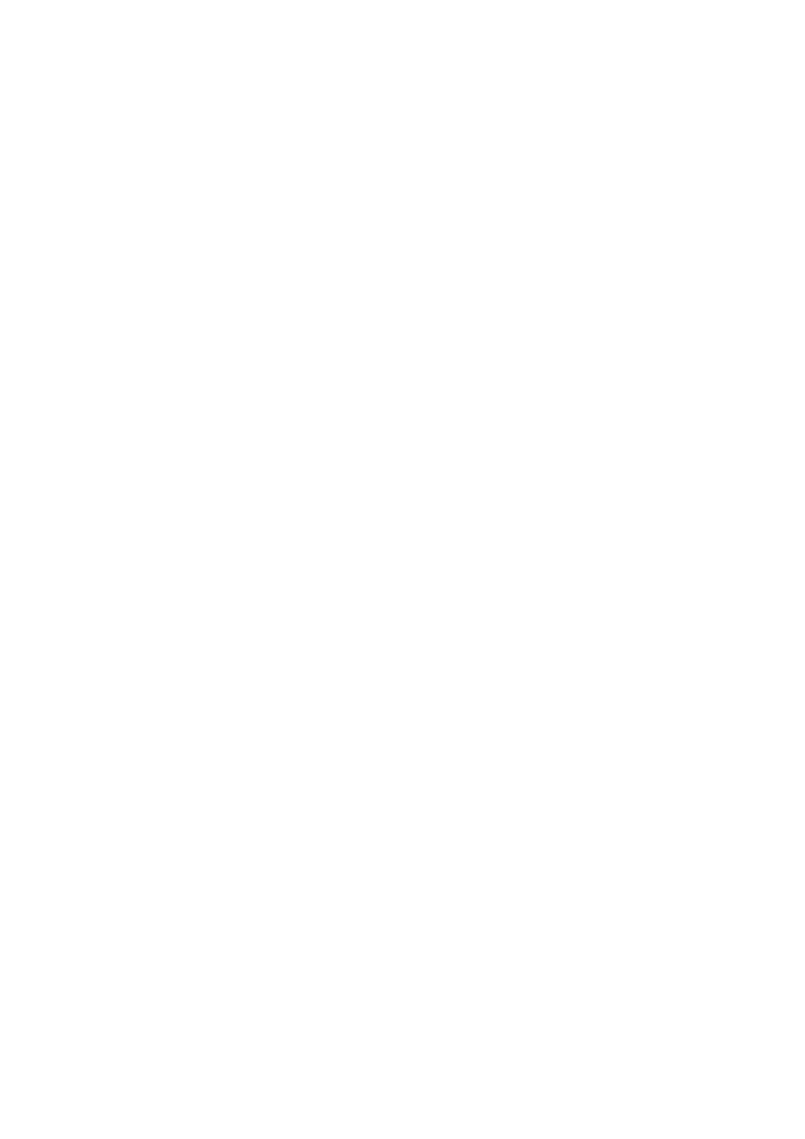| ---- |  |
|------|--|
|      |  |
|      |  |
|      |  |
|      |  |
|      |  |
|      |  |
|      |  |
|      |  |
|      |  |
|      |  |
|      |  |
|      |  |
|      |  |
|      |  |
|      |  |
|      |  |
|      |  |
|      |  |
|      |  |
|      |  |
|      |  |
|      |  |
|      |  |
|      |  |
|      |  |
|      |  |
|      |  |
|      |  |
|      |  |
|      |  |
|      |  |
|      |  |
|      |  |
|      |  |
|      |  |
|      |  |
|      |  |
|      |  |
|      |  |
|      |  |
|      |  |
|      |  |
|      |  |
|      |  |
|      |  |
|      |  |
|      |  |
|      |  |
|      |  |
|      |  |
|      |  |
|      |  |
|      |  |
|      |  |
|      |  |
|      |  |
|      |  |
|      |  |

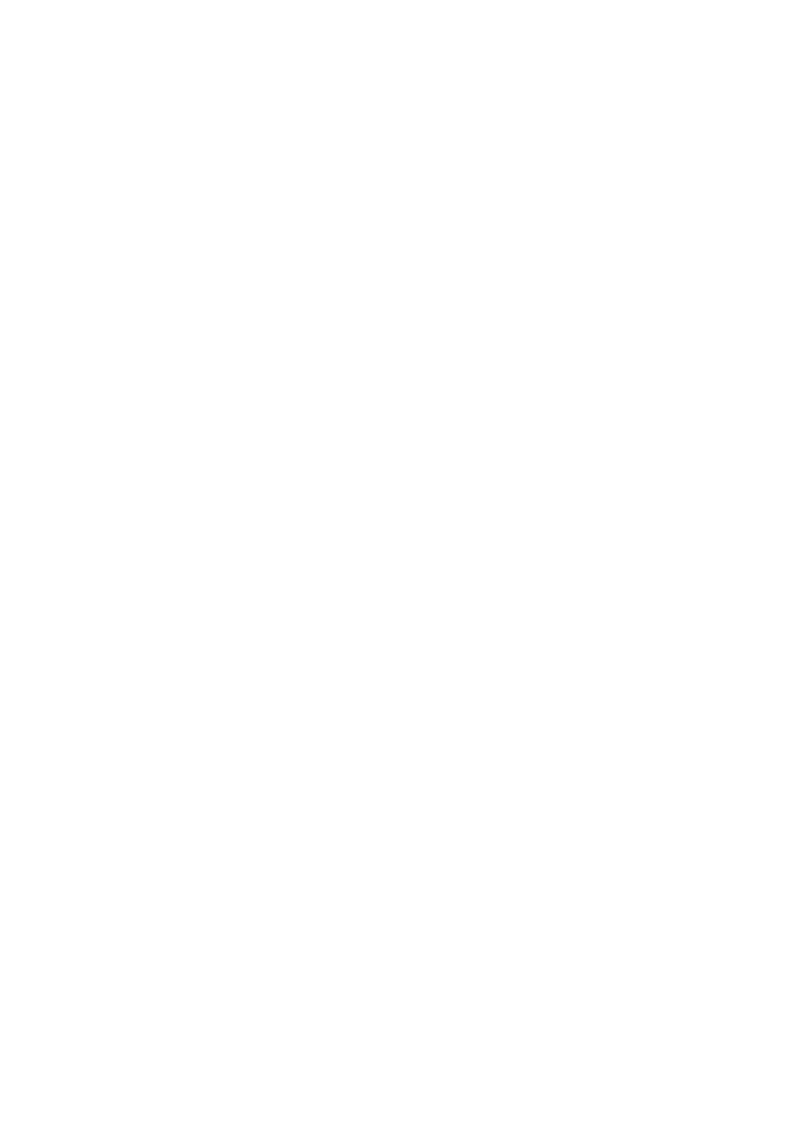| ---- |  |
|------|--|
|      |  |
|      |  |
|      |  |
|      |  |
|      |  |
|      |  |
|      |  |
|      |  |
|      |  |
|      |  |
|      |  |
|      |  |
|      |  |
|      |  |
|      |  |
|      |  |
|      |  |
|      |  |
|      |  |
|      |  |
|      |  |
|      |  |
|      |  |
|      |  |
|      |  |
|      |  |
|      |  |
|      |  |
|      |  |
|      |  |
|      |  |
|      |  |
|      |  |
|      |  |
|      |  |
|      |  |
|      |  |
|      |  |
|      |  |
|      |  |
|      |  |
|      |  |
|      |  |
|      |  |
|      |  |
|      |  |
|      |  |
|      |  |
|      |  |
|      |  |
|      |  |
|      |  |
|      |  |
|      |  |
|      |  |
|      |  |
|      |  |
|      |  |

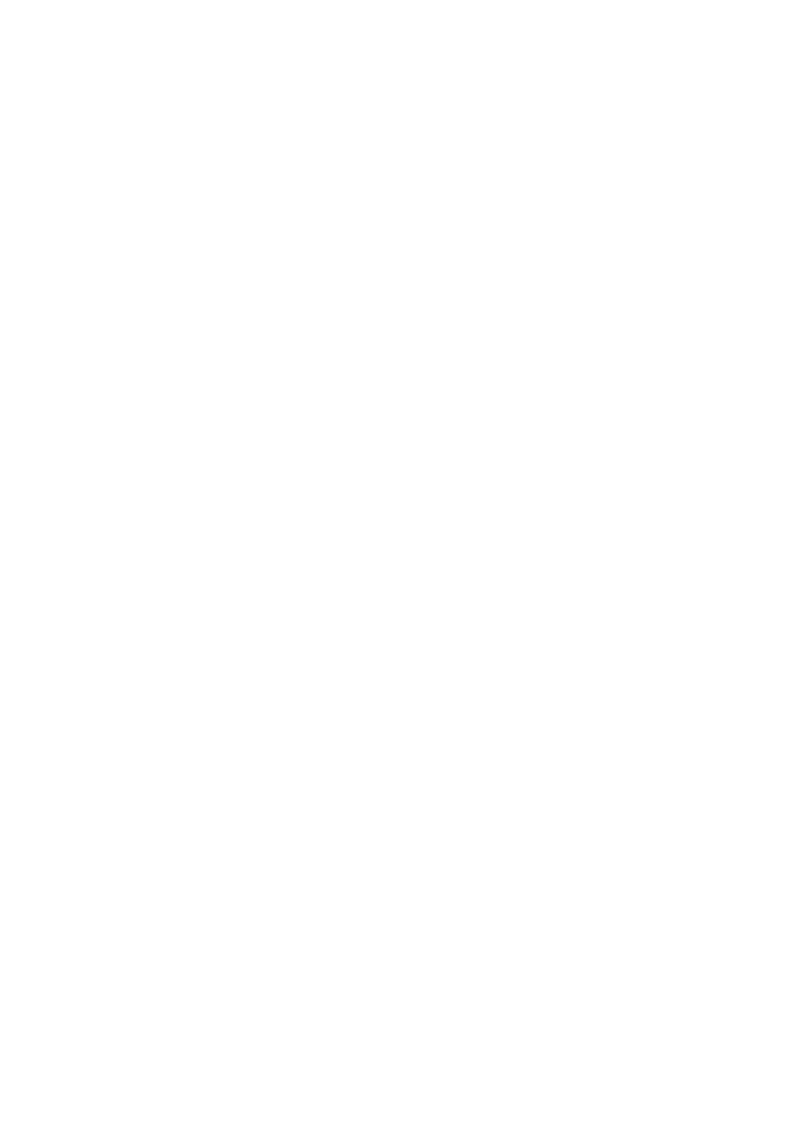| ---- |  |
|------|--|
|      |  |
|      |  |
|      |  |
|      |  |
|      |  |
|      |  |
|      |  |
|      |  |
|      |  |
|      |  |
|      |  |
|      |  |
|      |  |
|      |  |
|      |  |
|      |  |
|      |  |
|      |  |
|      |  |
|      |  |
|      |  |
|      |  |
|      |  |
|      |  |
|      |  |
|      |  |
|      |  |
|      |  |
|      |  |
|      |  |
|      |  |
|      |  |
|      |  |
|      |  |
|      |  |
|      |  |
|      |  |
|      |  |
|      |  |
|      |  |
|      |  |
|      |  |
|      |  |
|      |  |
|      |  |
|      |  |
|      |  |
|      |  |
|      |  |
|      |  |
|      |  |
|      |  |
|      |  |
|      |  |
|      |  |
|      |  |
|      |  |
|      |  |

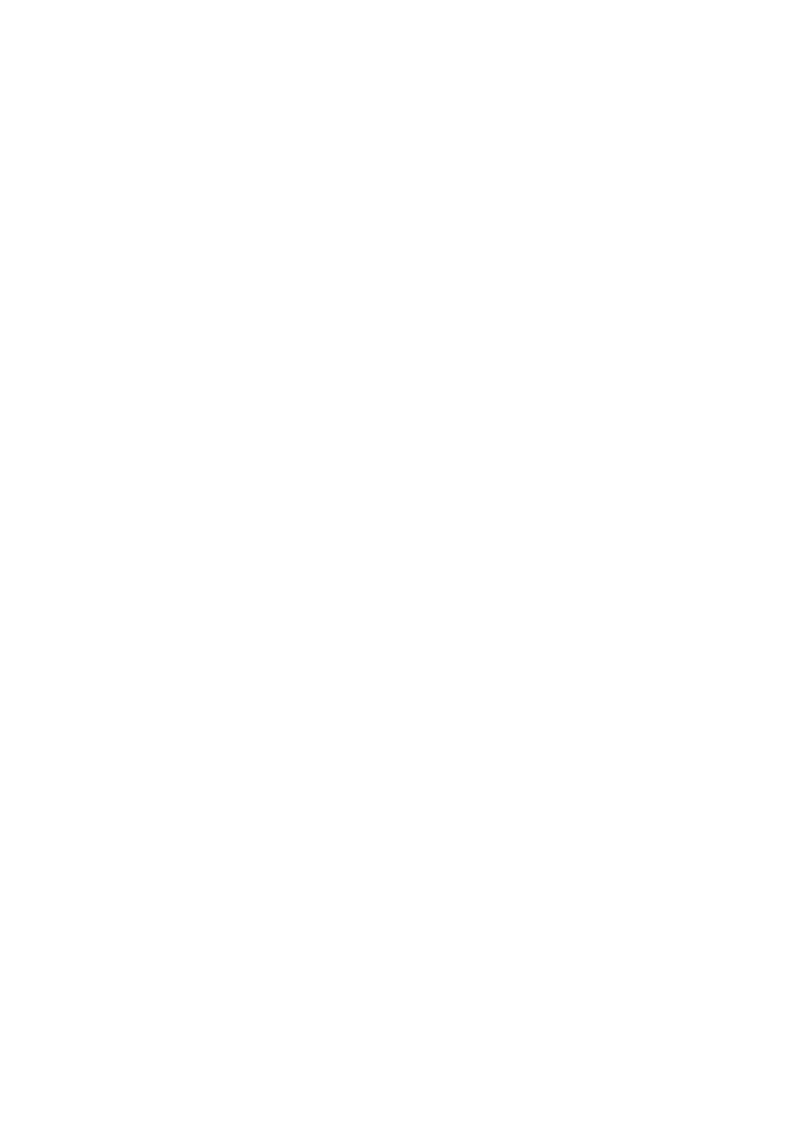| ---- |  |
|------|--|
|      |  |
|      |  |
|      |  |
|      |  |
|      |  |
|      |  |
|      |  |
|      |  |
|      |  |
|      |  |
|      |  |
|      |  |
|      |  |
|      |  |
|      |  |
|      |  |
|      |  |
|      |  |
|      |  |
|      |  |
|      |  |
|      |  |
|      |  |
|      |  |
|      |  |
|      |  |
|      |  |
|      |  |
|      |  |
|      |  |
|      |  |
|      |  |
|      |  |
|      |  |
|      |  |
|      |  |
|      |  |
|      |  |
|      |  |
|      |  |
|      |  |
|      |  |
|      |  |
|      |  |
|      |  |
|      |  |
|      |  |
|      |  |
|      |  |
|      |  |
|      |  |
|      |  |
|      |  |
|      |  |
|      |  |
|      |  |
|      |  |
|      |  |

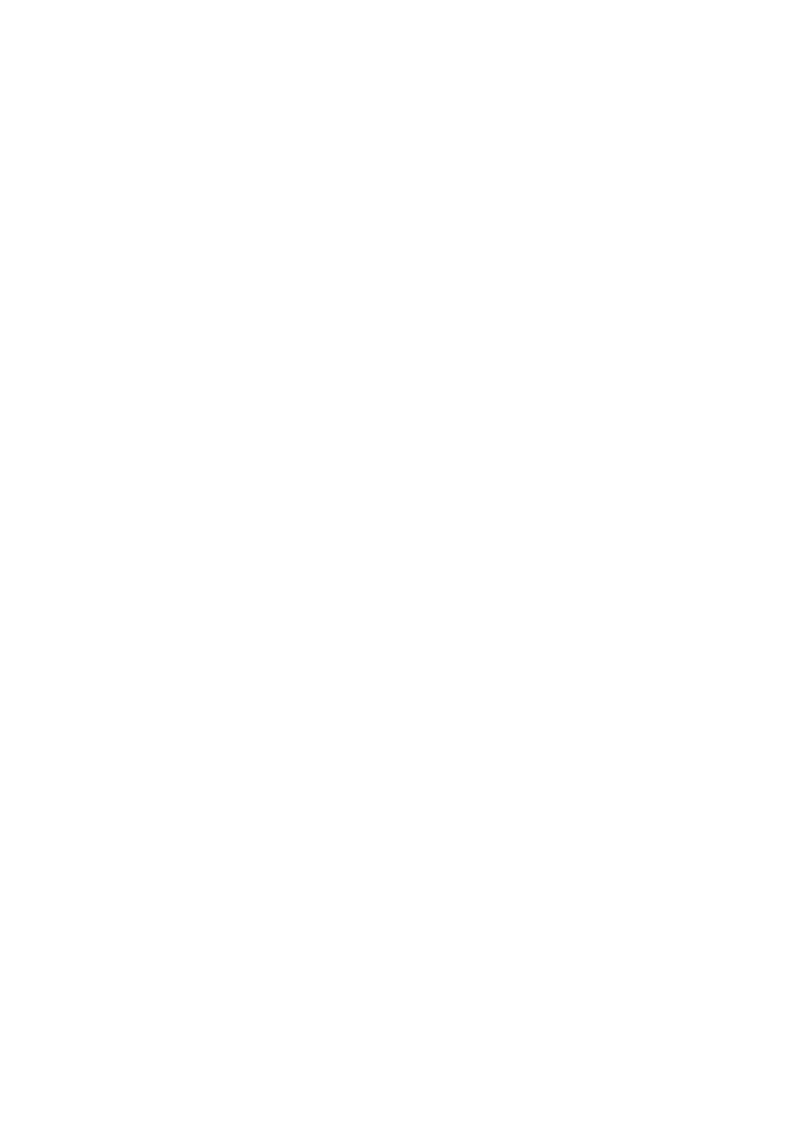| ---- |  |
|------|--|
|      |  |
|      |  |
|      |  |
|      |  |
|      |  |
|      |  |
|      |  |
|      |  |
|      |  |
|      |  |
|      |  |
|      |  |
|      |  |
|      |  |
|      |  |
|      |  |
|      |  |
|      |  |
|      |  |
|      |  |
|      |  |
|      |  |
|      |  |
|      |  |
|      |  |
|      |  |
|      |  |
|      |  |
|      |  |
|      |  |
|      |  |
|      |  |
|      |  |
|      |  |
|      |  |
|      |  |
|      |  |
|      |  |
|      |  |
|      |  |
|      |  |
|      |  |
|      |  |
|      |  |
|      |  |
|      |  |
|      |  |
|      |  |
|      |  |
|      |  |
|      |  |
|      |  |
|      |  |
|      |  |
|      |  |
|      |  |
|      |  |
|      |  |

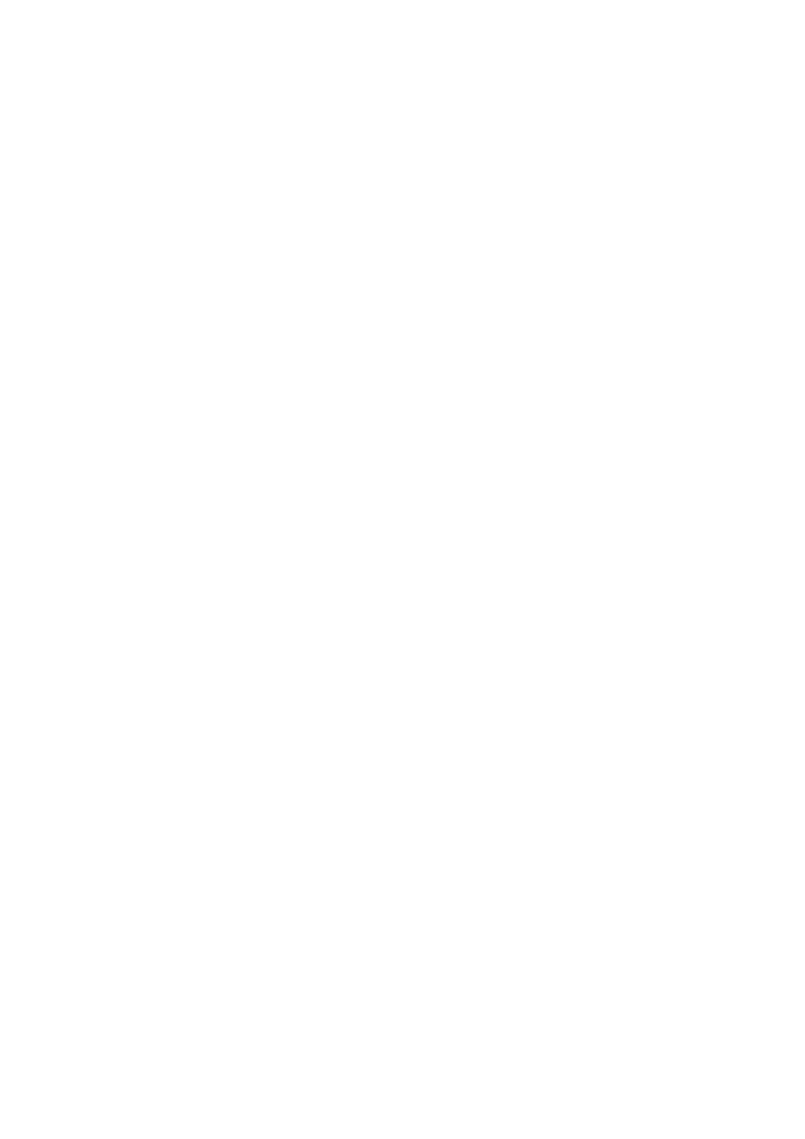| ---- |  |
|------|--|
|      |  |
|      |  |
|      |  |
|      |  |
|      |  |
|      |  |
|      |  |
|      |  |
|      |  |
|      |  |
|      |  |
|      |  |
|      |  |
|      |  |
|      |  |
|      |  |
|      |  |
|      |  |
|      |  |
|      |  |
|      |  |
|      |  |
|      |  |
|      |  |
|      |  |
|      |  |
|      |  |
|      |  |
|      |  |
|      |  |
|      |  |
|      |  |
|      |  |
|      |  |
|      |  |
|      |  |
|      |  |
|      |  |
|      |  |
|      |  |
|      |  |
|      |  |
|      |  |
|      |  |
|      |  |
|      |  |
|      |  |
|      |  |
|      |  |
|      |  |
|      |  |
|      |  |
|      |  |
|      |  |
|      |  |
|      |  |
|      |  |
|      |  |

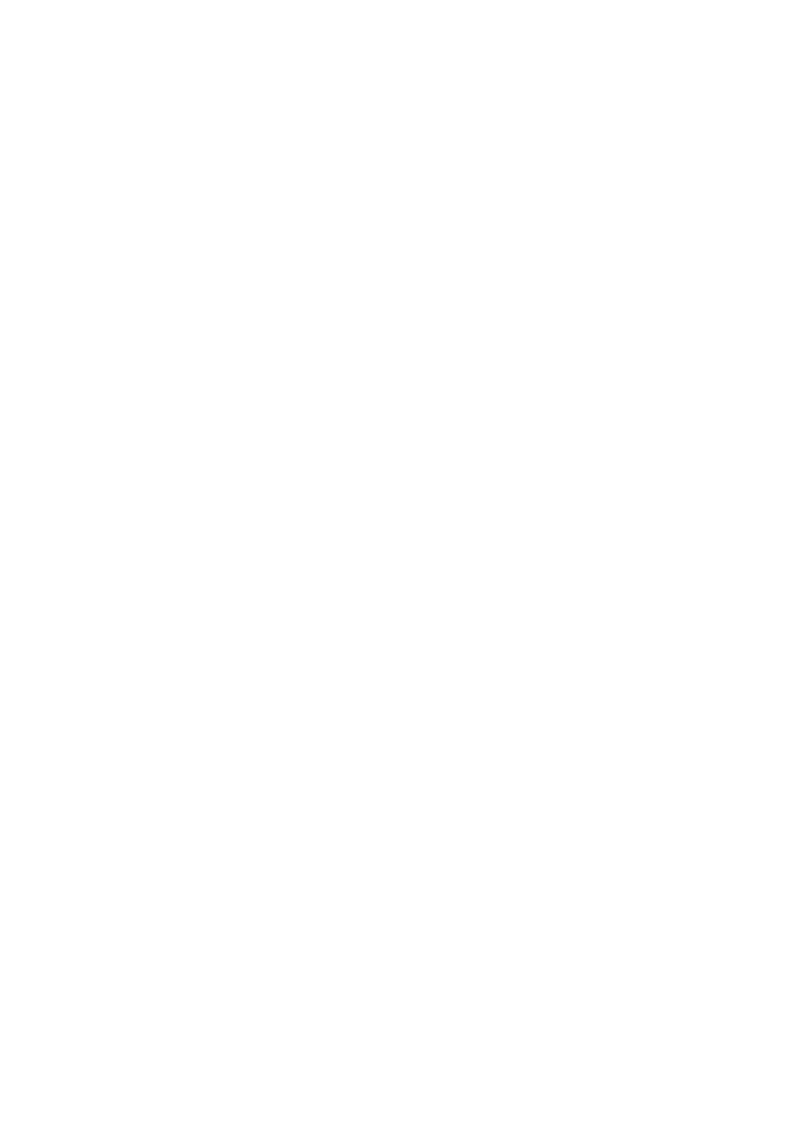| ---- |  |
|------|--|
|      |  |
|      |  |
|      |  |
|      |  |
|      |  |
|      |  |
|      |  |
|      |  |
|      |  |
|      |  |
|      |  |
|      |  |
|      |  |
|      |  |
|      |  |
|      |  |
|      |  |
|      |  |
|      |  |
|      |  |
|      |  |
|      |  |
|      |  |
|      |  |
|      |  |
|      |  |
|      |  |
|      |  |
|      |  |
|      |  |
|      |  |
|      |  |
|      |  |
|      |  |
|      |  |
|      |  |
|      |  |
|      |  |
|      |  |
|      |  |
|      |  |
|      |  |
|      |  |
|      |  |
|      |  |
|      |  |
|      |  |
|      |  |
|      |  |
|      |  |
|      |  |
|      |  |
|      |  |
|      |  |
|      |  |
|      |  |
|      |  |
|      |  |

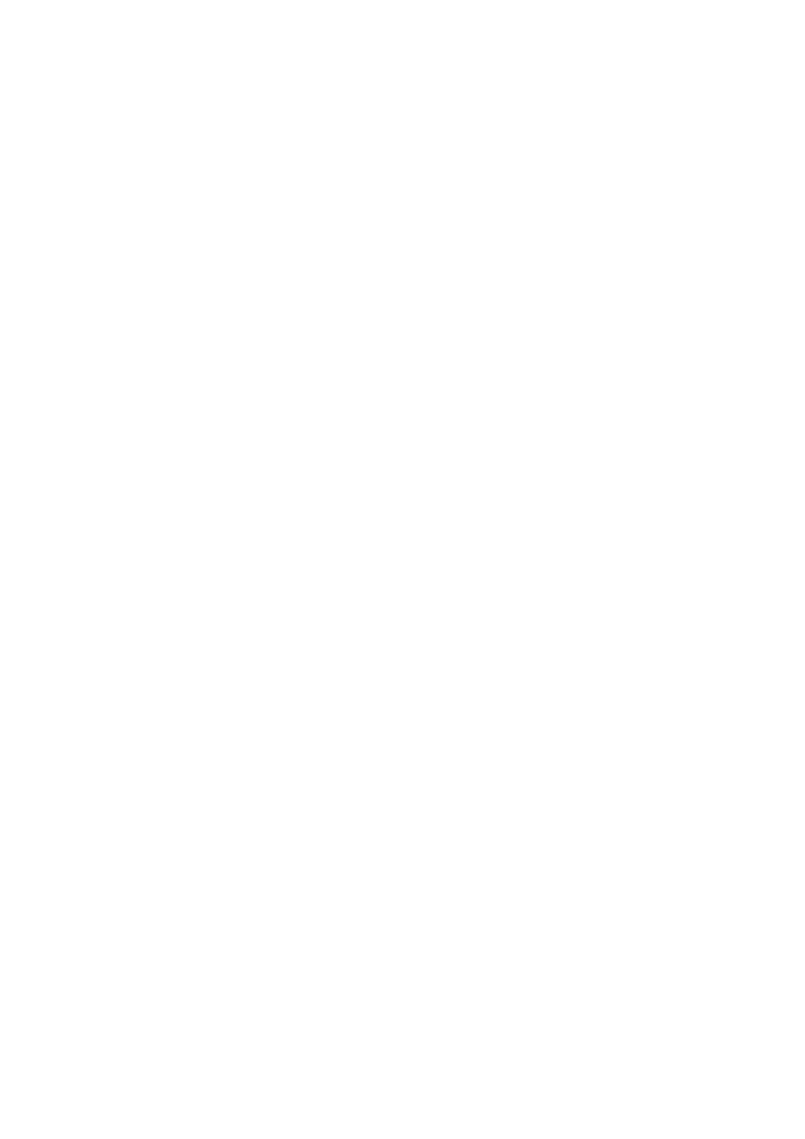| ---- |  |
|------|--|
|      |  |
|      |  |
|      |  |
|      |  |
|      |  |
|      |  |
|      |  |
|      |  |
|      |  |
|      |  |
|      |  |
|      |  |
|      |  |
|      |  |
|      |  |
|      |  |
|      |  |
|      |  |
|      |  |
|      |  |
|      |  |
|      |  |
|      |  |
|      |  |
|      |  |
|      |  |
|      |  |
|      |  |
|      |  |
|      |  |
|      |  |
|      |  |
|      |  |
|      |  |
|      |  |
|      |  |
|      |  |
|      |  |
|      |  |
|      |  |
|      |  |
|      |  |
|      |  |
|      |  |
|      |  |
|      |  |
|      |  |
|      |  |
|      |  |
|      |  |
|      |  |
|      |  |
|      |  |
|      |  |
|      |  |
|      |  |
|      |  |
|      |  |

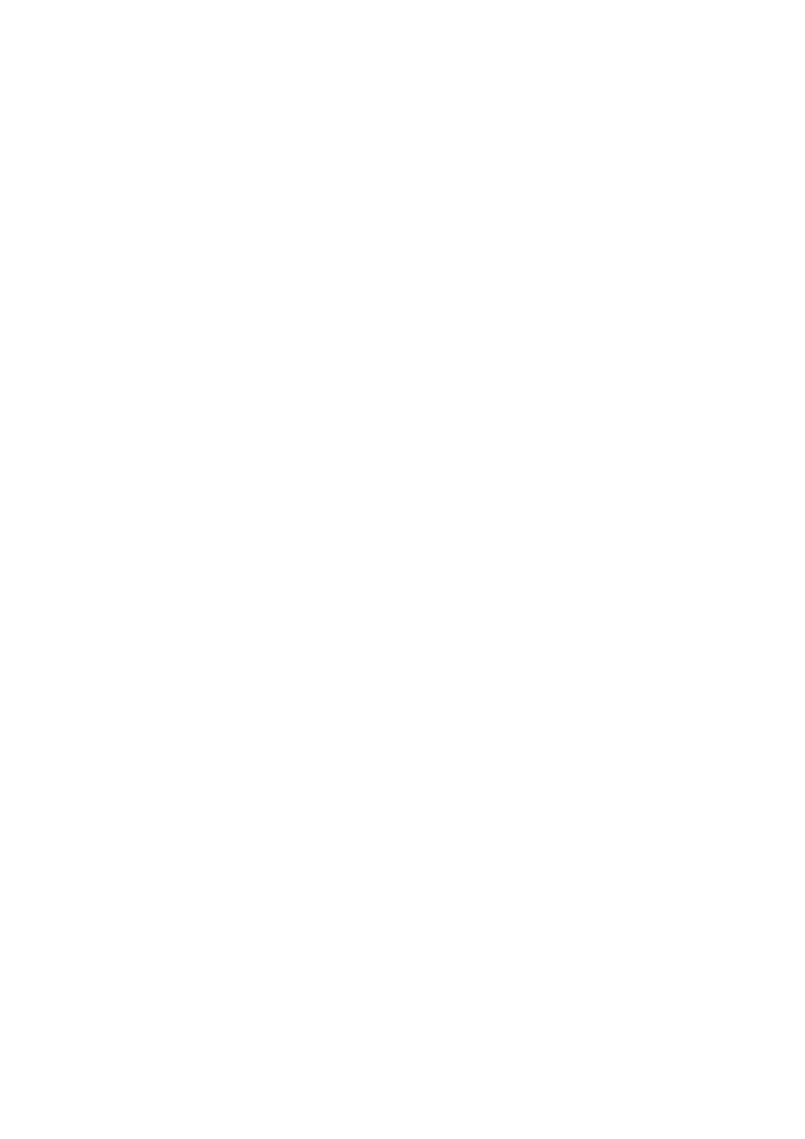| ---- |  |
|------|--|
|      |  |
|      |  |
|      |  |
|      |  |
|      |  |
|      |  |
|      |  |
|      |  |
|      |  |
|      |  |
|      |  |
|      |  |
|      |  |
|      |  |
|      |  |
|      |  |
|      |  |
|      |  |
|      |  |
|      |  |
|      |  |
|      |  |
|      |  |
|      |  |
|      |  |
|      |  |
|      |  |
|      |  |
|      |  |
|      |  |
|      |  |
|      |  |
|      |  |
|      |  |
|      |  |
|      |  |
|      |  |
|      |  |
|      |  |
|      |  |
|      |  |
|      |  |
|      |  |
|      |  |
|      |  |
|      |  |
|      |  |
|      |  |
|      |  |
|      |  |
|      |  |
|      |  |
|      |  |
|      |  |
|      |  |
|      |  |
|      |  |
|      |  |

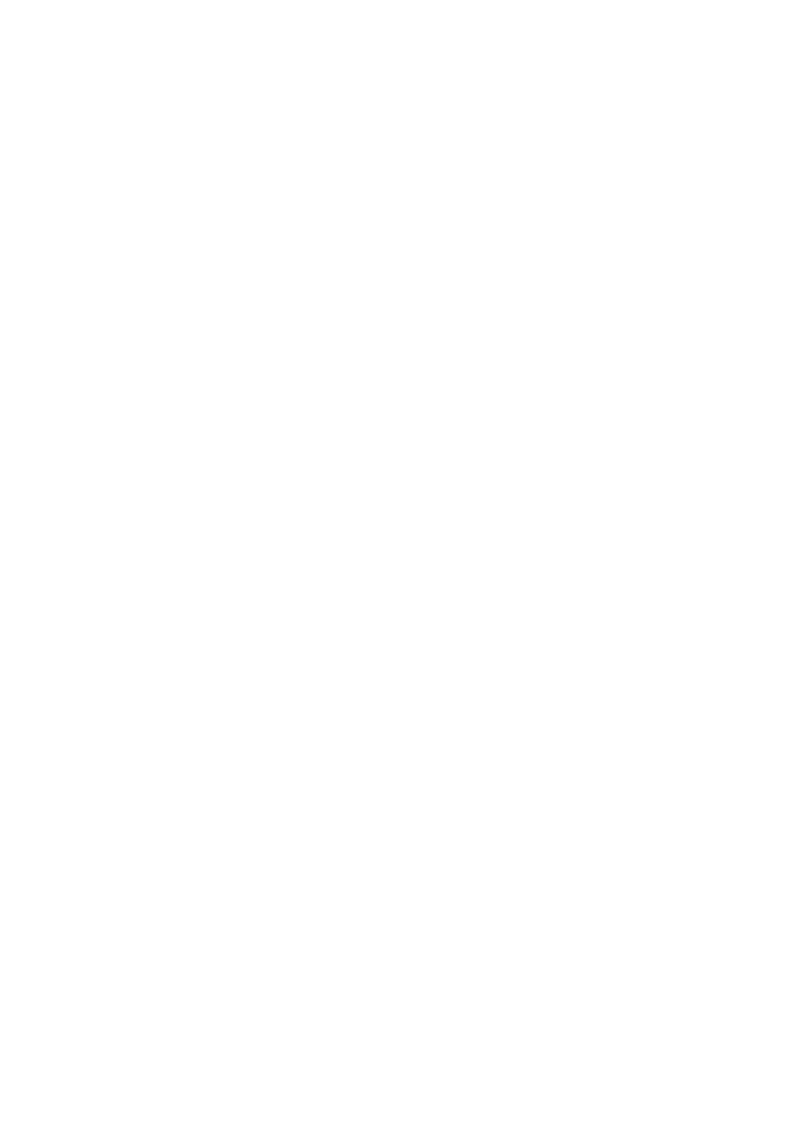| ---- |  |
|------|--|
|      |  |
|      |  |
|      |  |
|      |  |
|      |  |
|      |  |
|      |  |
|      |  |
|      |  |
|      |  |
|      |  |
|      |  |
|      |  |
|      |  |
|      |  |
|      |  |
|      |  |
|      |  |
|      |  |
|      |  |
|      |  |
|      |  |
|      |  |
|      |  |
|      |  |
|      |  |
|      |  |
|      |  |
|      |  |
|      |  |
|      |  |
|      |  |
|      |  |
|      |  |
|      |  |
|      |  |
|      |  |
|      |  |
|      |  |
|      |  |
|      |  |
|      |  |
|      |  |
|      |  |
|      |  |
|      |  |
|      |  |
|      |  |
|      |  |
|      |  |
|      |  |
|      |  |
|      |  |
|      |  |
|      |  |
|      |  |
|      |  |
|      |  |

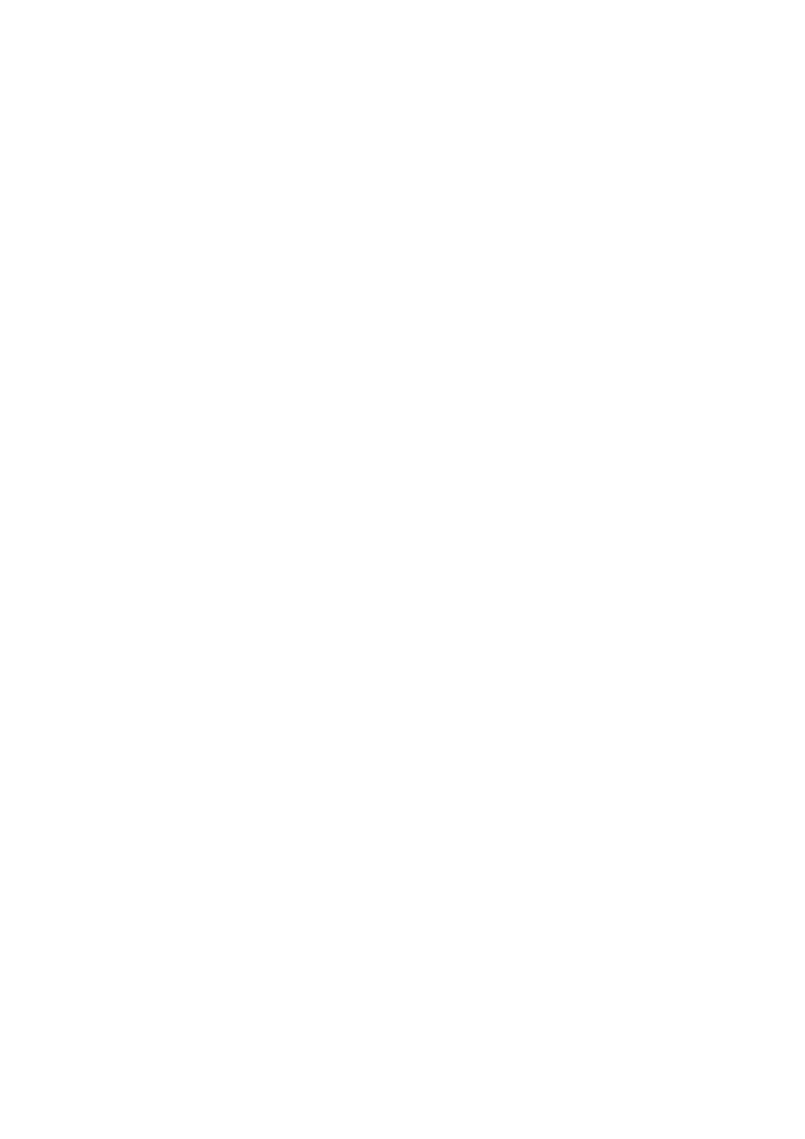| ---- |  |
|------|--|
|      |  |
|      |  |
|      |  |
|      |  |
|      |  |
|      |  |
|      |  |
|      |  |
|      |  |
|      |  |
|      |  |
|      |  |
|      |  |
|      |  |
|      |  |
|      |  |
|      |  |
|      |  |
|      |  |
|      |  |
|      |  |
|      |  |
|      |  |
|      |  |
|      |  |
|      |  |
|      |  |
|      |  |
|      |  |
|      |  |
|      |  |
|      |  |
|      |  |
|      |  |
|      |  |
|      |  |
|      |  |
|      |  |
|      |  |
|      |  |
|      |  |
|      |  |
|      |  |
|      |  |
|      |  |
|      |  |
|      |  |
|      |  |
|      |  |
|      |  |
|      |  |
|      |  |
|      |  |
|      |  |
|      |  |
|      |  |
|      |  |
|      |  |

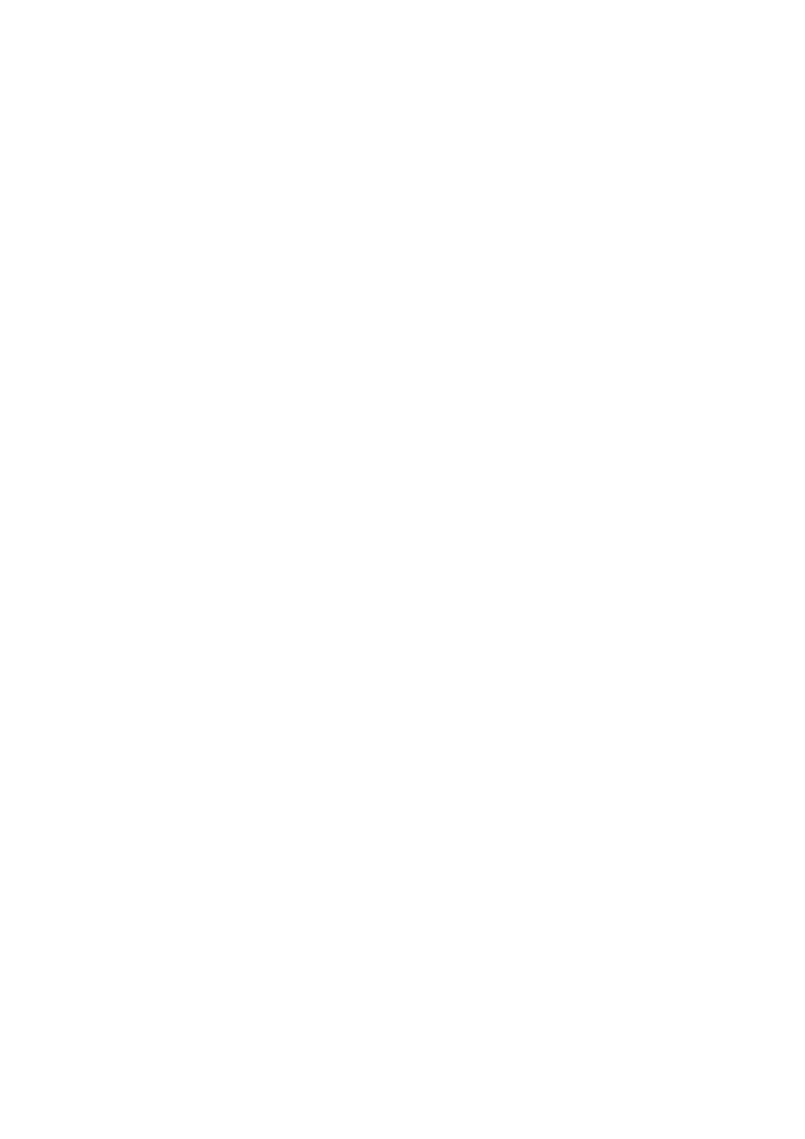| ---- |  |
|------|--|
|      |  |
|      |  |
|      |  |
|      |  |
|      |  |
|      |  |
|      |  |
|      |  |
|      |  |
|      |  |
|      |  |
|      |  |
|      |  |
|      |  |
|      |  |
|      |  |
|      |  |
|      |  |
|      |  |
|      |  |
|      |  |
|      |  |
|      |  |
|      |  |
|      |  |
|      |  |
|      |  |
|      |  |
|      |  |
|      |  |
|      |  |
|      |  |
|      |  |
|      |  |
|      |  |
|      |  |
|      |  |
|      |  |
|      |  |
|      |  |
|      |  |
|      |  |
|      |  |
|      |  |
|      |  |
|      |  |
|      |  |
|      |  |
|      |  |
|      |  |
|      |  |
|      |  |
|      |  |
|      |  |
|      |  |
|      |  |
|      |  |
|      |  |

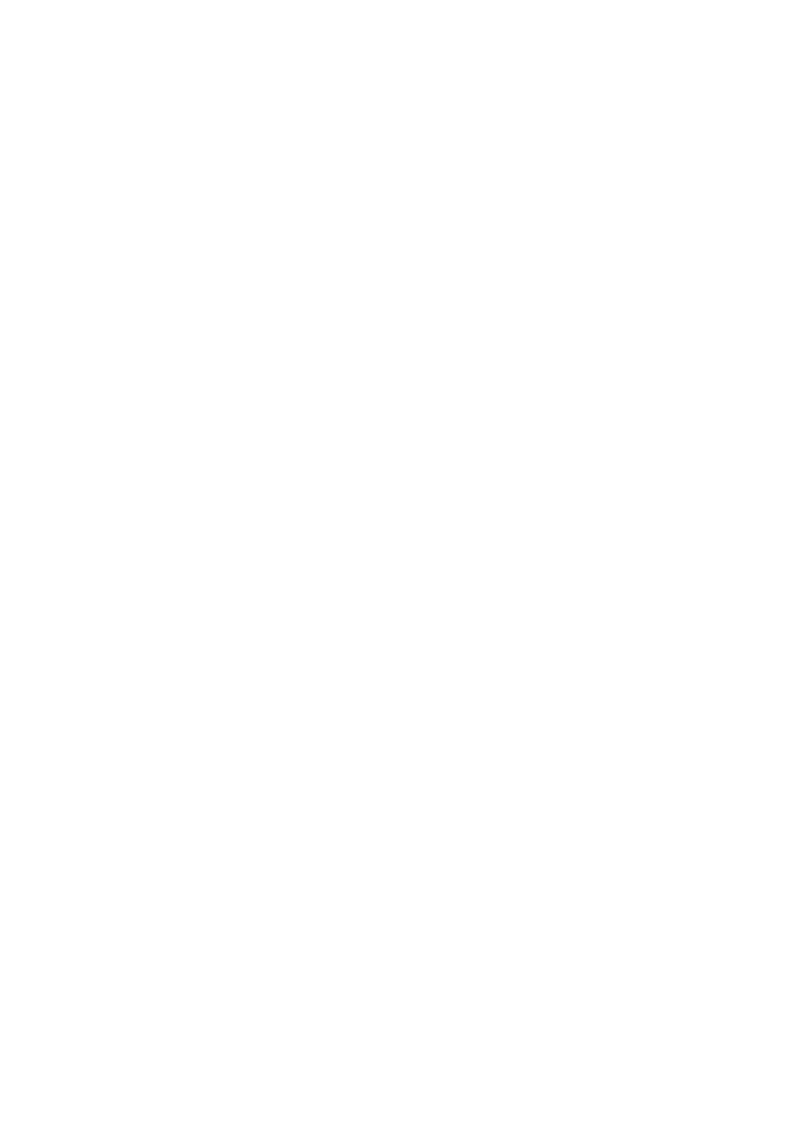| ---- |  |
|------|--|
|      |  |
|      |  |
|      |  |
|      |  |
|      |  |
|      |  |
|      |  |
|      |  |
|      |  |
|      |  |
|      |  |
|      |  |
|      |  |
|      |  |
|      |  |
|      |  |
|      |  |
|      |  |
|      |  |
|      |  |
|      |  |
|      |  |
|      |  |
|      |  |
|      |  |
|      |  |
|      |  |
|      |  |
|      |  |
|      |  |
|      |  |
|      |  |
|      |  |
|      |  |
|      |  |
|      |  |
|      |  |
|      |  |
|      |  |
|      |  |
|      |  |
|      |  |
|      |  |
|      |  |
|      |  |
|      |  |
|      |  |
|      |  |
|      |  |
|      |  |
|      |  |
|      |  |
|      |  |
|      |  |
|      |  |
|      |  |
|      |  |
|      |  |

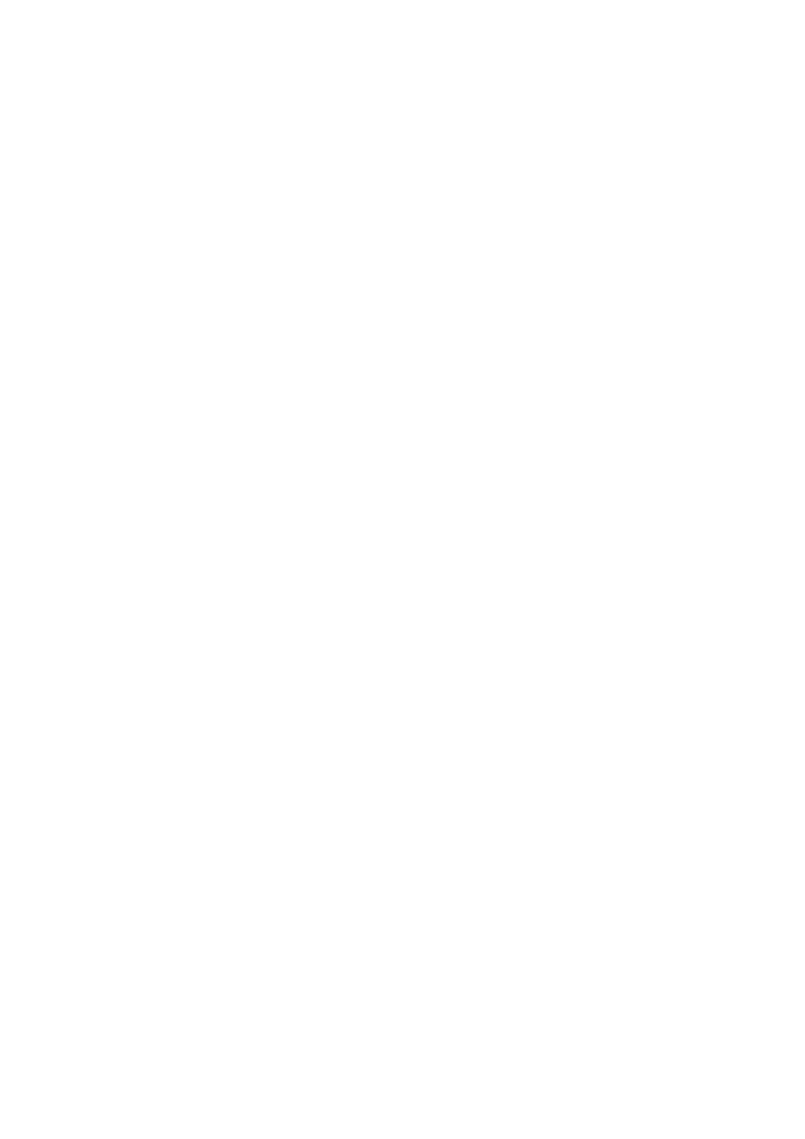| ---- |  |
|------|--|
|      |  |
|      |  |
|      |  |
|      |  |
|      |  |
|      |  |
|      |  |
|      |  |
|      |  |
|      |  |
|      |  |
|      |  |
|      |  |
|      |  |
|      |  |
|      |  |
|      |  |
|      |  |
|      |  |
|      |  |
|      |  |
|      |  |
|      |  |
|      |  |
|      |  |
|      |  |
|      |  |
|      |  |
|      |  |
|      |  |
|      |  |
|      |  |
|      |  |
|      |  |
|      |  |
|      |  |
|      |  |
|      |  |
|      |  |
|      |  |
|      |  |
|      |  |
|      |  |
|      |  |
|      |  |
|      |  |
|      |  |
|      |  |
|      |  |
|      |  |
|      |  |
|      |  |
|      |  |
|      |  |
|      |  |
|      |  |
|      |  |
|      |  |